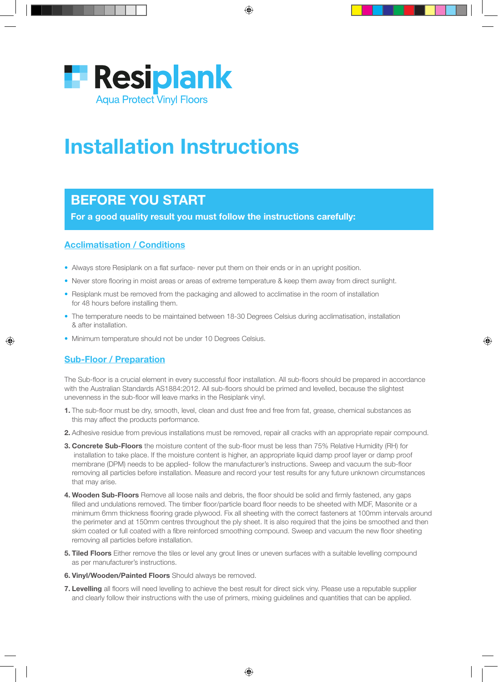

# Installation Instructions

# BEFORE YOU START

For a good quality result you must follow the instructions carefully:

## Acclimatisation / Conditions

- Always store Resiplank on a flat surface- never put them on their ends or in an upright position.
- Never store flooring in moist areas or areas of extreme temperature & keep them away from direct sunlight.
- Resiplank must be removed from the packaging and allowed to acclimatise in the room of installation for 48 hours before installing them.
- The temperature needs to be maintained between 18-30 Degrees Celsius during acclimatisation, installation & after installation.
- Minimum temperature should not be under 10 Degrees Celsius.

### Sub-Floor / Preparation

The Sub-floor is a crucial element in every successful floor installation. All sub-floors should be prepared in accordance with the Australian Standards AS1884:2012. All sub-floors should be primed and levelled, because the slightest unevenness in the sub-floor will leave marks in the Resiplank vinyl.

- 1. The sub-floor must be dry, smooth, level, clean and dust free and free from fat, grease, chemical substances as this may affect the products performance.
- 2. Adhesive residue from previous installations must be removed, repair all cracks with an appropriate repair compound.
- **3. Concrete Sub-Floors** the moisture content of the sub-floor must be less than 75% Relative Humidity (RH) for installation to take place. If the moisture content is higher, an appropriate liquid damp proof layer or damp proof membrane (DPM) needs to be applied- follow the manufacturer's instructions. Sweep and vacuum the sub-floor removing all particles before installation. Measure and record your test results for any future unknown circumstances that may arise.
- 4. Wooden Sub-Floors Remove all loose nails and debris, the floor should be solid and firmly fastened, any gaps filled and undulations removed. The timber floor/particle board floor needs to be sheeted with MDF, Masonite or a minimum 6mm thickness flooring grade plywood. Fix all sheeting with the correct fasteners at 100mm intervals around the perimeter and at 150mm centres throughout the ply sheet. It is also required that the joins be smoothed and then skim coated or full coated with a fibre reinforced smoothing compound. Sweep and vacuum the new floor sheeting removing all particles before installation.
- **5. Tiled Floors** Either remove the tiles or level any grout lines or uneven surfaces with a suitable levelling compound as per manufacturer's instructions.
- 6. Vinyl/Wooden/Painted Floors Should always be removed.
- **7. Levelling** all floors will need levelling to achieve the best result for direct sick viny. Please use a reputable supplier and clearly follow their instructions with the use of primers, mixing guidelines and quantities that can be applied.